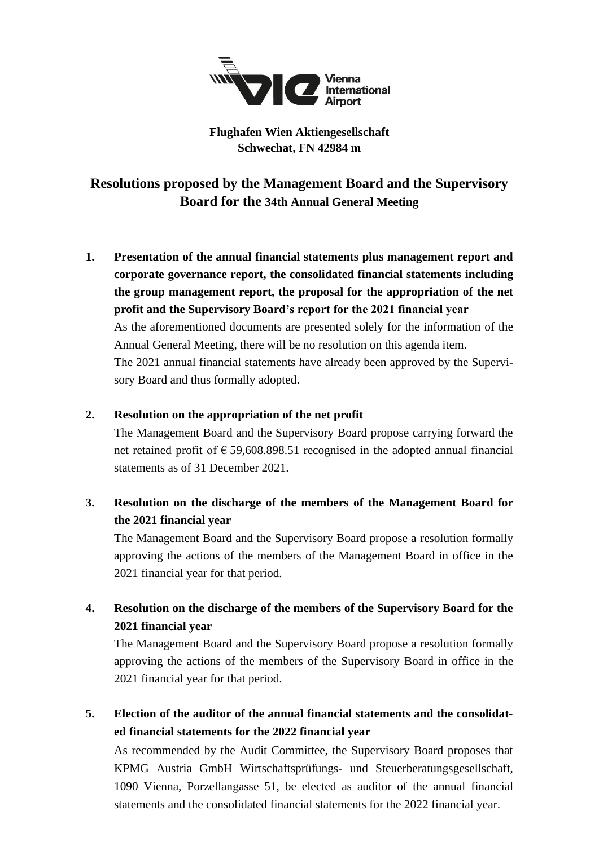

## **Flughafen Wien Aktiengesellschaft Schwechat, FN 42984 m**

**Resolutions proposed by the Management Board and the Supervisory Board for the 34th Annual General Meeting**

**1. Presentation of the annual financial statements plus management report and corporate governance report, the consolidated financial statements including the group management report, the proposal for the appropriation of the net profit and the Supervisory Board's report for the 2021 financial year** As the aforementioned documents are presented solely for the information of the Annual General Meeting, there will be no resolution on this agenda item. The 2021 annual financial statements have already been approved by the Supervisory Board and thus formally adopted.

### **2. Resolution on the appropriation of the net profit**

The Management Board and the Supervisory Board propose carrying forward the net retained profit of  $\epsilon$  59,608.898.51 recognised in the adopted annual financial statements as of 31 December 2021.

# **3. Resolution on the discharge of the members of the Management Board for the 2021 financial year**

The Management Board and the Supervisory Board propose a resolution formally approving the actions of the members of the Management Board in office in the 2021 financial year for that period.

## **4. Resolution on the discharge of the members of the Supervisory Board for the 2021 financial year**

The Management Board and the Supervisory Board propose a resolution formally approving the actions of the members of the Supervisory Board in office in the 2021 financial year for that period.

**5. Election of the auditor of the annual financial statements and the consolidated financial statements for the 2022 financial year**

As recommended by the Audit Committee, the Supervisory Board proposes that KPMG Austria GmbH Wirtschaftsprüfungs- und Steuerberatungsgesellschaft, 1090 Vienna, Porzellangasse 51, be elected as auditor of the annual financial statements and the consolidated financial statements for the 2022 financial year.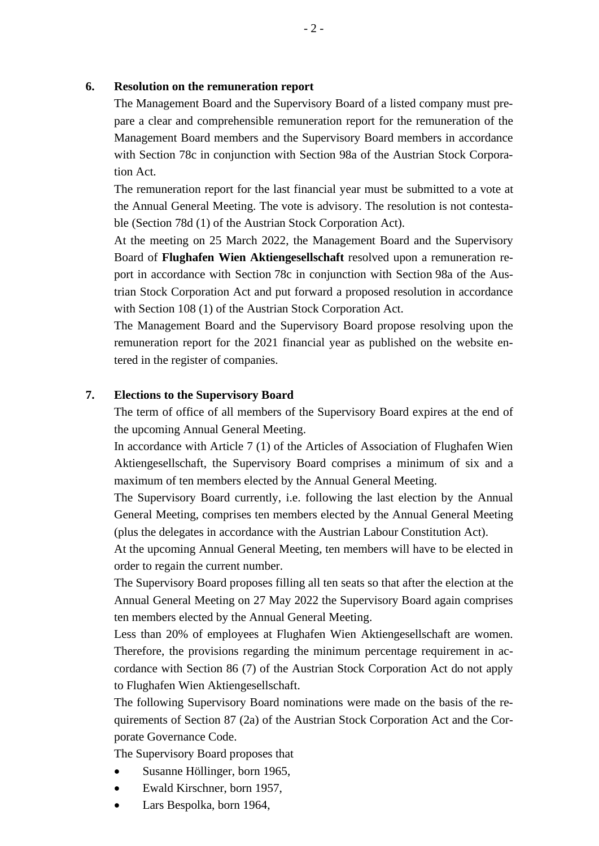#### **6. Resolution on the remuneration report**

The Management Board and the Supervisory Board of a listed company must prepare a clear and comprehensible remuneration report for the remuneration of the Management Board members and the Supervisory Board members in accordance with Section 78c in conjunction with Section 98a of the Austrian Stock Corporation Act.

The remuneration report for the last financial year must be submitted to a vote at the Annual General Meeting. The vote is advisory. The resolution is not contestable (Section 78d (1) of the Austrian Stock Corporation Act).

At the meeting on 25 March 2022, the Management Board and the Supervisory Board of **Flughafen Wien Aktiengesellschaft** resolved upon a remuneration report in accordance with Section 78c in conjunction with Section 98a of the Austrian Stock Corporation Act and put forward a proposed resolution in accordance with Section 108 (1) of the Austrian Stock Corporation Act.

The Management Board and the Supervisory Board propose resolving upon the remuneration report for the 2021 financial year as published on the website entered in the register of companies.

#### **7. Elections to the Supervisory Board**

The term of office of all members of the Supervisory Board expires at the end of the upcoming Annual General Meeting.

In accordance with Article 7 (1) of the Articles of Association of Flughafen Wien Aktiengesellschaft, the Supervisory Board comprises a minimum of six and a maximum of ten members elected by the Annual General Meeting.

The Supervisory Board currently, i.e. following the last election by the Annual General Meeting, comprises ten members elected by the Annual General Meeting (plus the delegates in accordance with the Austrian Labour Constitution Act).

At the upcoming Annual General Meeting, ten members will have to be elected in order to regain the current number.

The Supervisory Board proposes filling all ten seats so that after the election at the Annual General Meeting on 27 May 2022 the Supervisory Board again comprises ten members elected by the Annual General Meeting.

Less than 20% of employees at Flughafen Wien Aktiengesellschaft are women. Therefore, the provisions regarding the minimum percentage requirement in accordance with Section 86 (7) of the Austrian Stock Corporation Act do not apply to Flughafen Wien Aktiengesellschaft.

The following Supervisory Board nominations were made on the basis of the requirements of Section 87 (2a) of the Austrian Stock Corporation Act and the Corporate Governance Code.

The Supervisory Board proposes that

- Susanne Höllinger, born 1965,
- Ewald Kirschner, born 1957,
- Lars Bespolka, born 1964,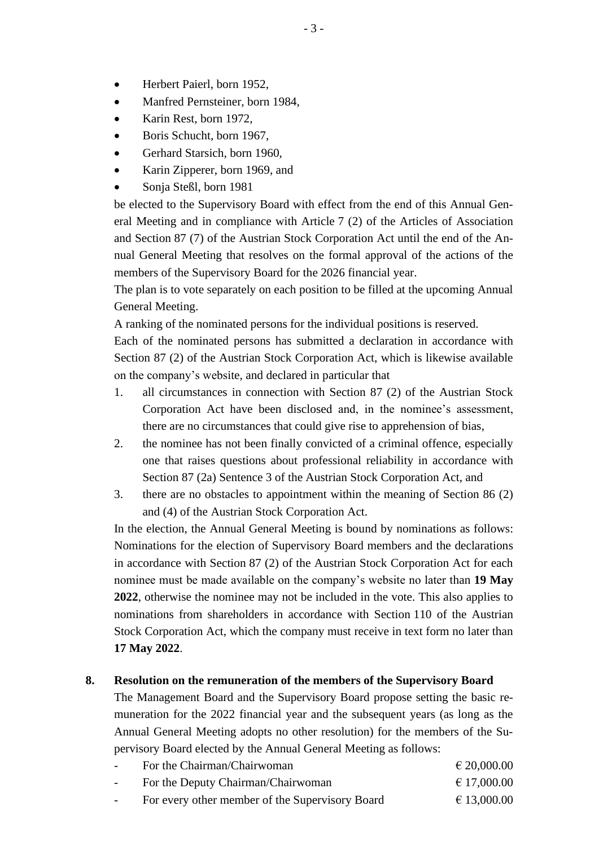- Herbert Paierl, born 1952,
- Manfred Pernsteiner, born 1984,
- Karin Rest, born 1972,
- Boris Schucht, born 1967,
- Gerhard Starsich, born 1960,
- Karin Zipperer, born 1969, and
- Sonja Steßl, born 1981

be elected to the Supervisory Board with effect from the end of this Annual General Meeting and in compliance with Article 7 (2) of the Articles of Association and Section 87 (7) of the Austrian Stock Corporation Act until the end of the Annual General Meeting that resolves on the formal approval of the actions of the members of the Supervisory Board for the 2026 financial year.

The plan is to vote separately on each position to be filled at the upcoming Annual General Meeting.

A ranking of the nominated persons for the individual positions is reserved.

Each of the nominated persons has submitted a declaration in accordance with Section 87 (2) of the Austrian Stock Corporation Act, which is likewise available on the company's website, and declared in particular that

- 1. all circumstances in connection with Section 87 (2) of the Austrian Stock Corporation Act have been disclosed and, in the nominee's assessment, there are no circumstances that could give rise to apprehension of bias,
- 2. the nominee has not been finally convicted of a criminal offence, especially one that raises questions about professional reliability in accordance with Section 87 (2a) Sentence 3 of the Austrian Stock Corporation Act, and
- 3. there are no obstacles to appointment within the meaning of Section 86 (2) and (4) of the Austrian Stock Corporation Act.

In the election, the Annual General Meeting is bound by nominations as follows: Nominations for the election of Supervisory Board members and the declarations in accordance with Section 87 (2) of the Austrian Stock Corporation Act for each nominee must be made available on the company's website no later than **19 May 2022**, otherwise the nominee may not be included in the vote. This also applies to nominations from shareholders in accordance with Section 110 of the Austrian Stock Corporation Act, which the company must receive in text form no later than **17 May 2022**.

### **8. Resolution on the remuneration of the members of the Supervisory Board**

The Management Board and the Supervisory Board propose setting the basic remuneration for the 2022 financial year and the subsequent years (as long as the Annual General Meeting adopts no other resolution) for the members of the Supervisory Board elected by the Annual General Meeting as follows:

| $\overline{\phantom{0}}$ | For the Chairman/Chairwoman                     | $\epsilon$ 20,000.00 |
|--------------------------|-------------------------------------------------|----------------------|
|                          | For the Deputy Chairman/Chairwoman              | $\epsilon$ 17,000.00 |
|                          | For every other member of the Supervisory Board | $\epsilon$ 13,000.00 |